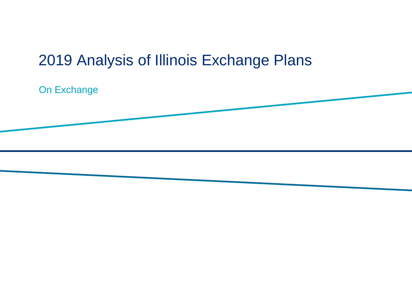# 2019 Analysis of Illinois Exchange Plans

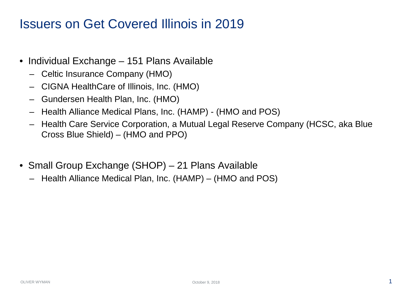### Issuers on Get Covered Illinois in 2019

- Individual Exchange 151 Plans Available
	- Celtic Insurance Company (HMO)
	- CIGNA HealthCare of Illinois, Inc. (HMO)
	- Gundersen Health Plan, Inc. (HMO)
	- Health Alliance Medical Plans, Inc. (HAMP) (HMO and POS)
	- Health Care Service Corporation, a Mutual Legal Reserve Company (HCSC, aka Blue Cross Blue Shield) – (HMO and PPO)
- Small Group Exchange (SHOP) 21 Plans Available
	- Health Alliance Medical Plan, Inc. (HAMP) (HMO and POS)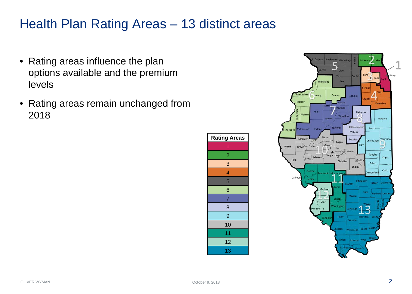# Health Plan Rating Areas – 13 distinct areas

- Rating areas influence the plan options available and the premium levels
- Rating areas remain unchanged from



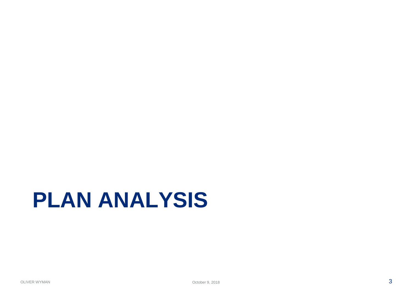# **PLAN ANALYSIS**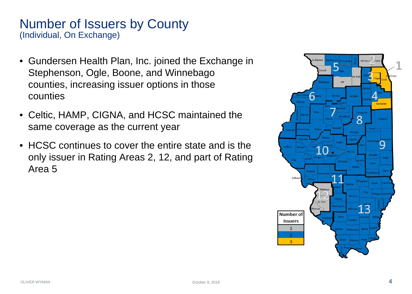### Number of Issuers by County (Individual, On Exchange)

- Gundersen Health Plan, Inc. joined the Exchange in Stephenson, Ogle, Boone, and Winnebago counties, increasing issuer options in those counties
- Celtic, HAMP, CIGNA, and HCSC maintained the same coverage as the current year
- HCSC continues to cover the entire state and is the only issuer in Rating Areas 2, 12, and part of Rating Area 5

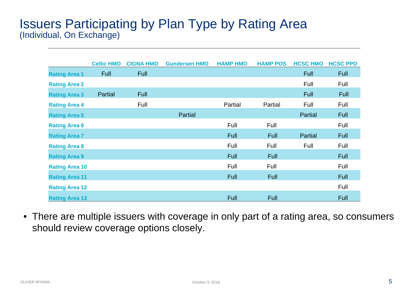### Issuers Participating by Plan Type by Rating Area (Individual, On Exchange)

|                       | <b>Celtic HMO</b> | <b>CIGNA HMO</b> | <b>Gundersen HMO</b> | <b>HAMP HMO</b> | <b>HAMP POS</b> | <b>HCSC HMO</b> | <b>HCSC PPO</b> |
|-----------------------|-------------------|------------------|----------------------|-----------------|-----------------|-----------------|-----------------|
| <b>Rating Area 1</b>  | Full              | <b>Full</b>      |                      |                 |                 | Full            | <b>Full</b>     |
| <b>Rating Area 2</b>  |                   |                  |                      |                 |                 | Full            | Full            |
| <b>Rating Area 3</b>  | Partial           | <b>Full</b>      |                      |                 |                 | Full            | <b>Full</b>     |
| <b>Rating Area 4</b>  |                   | Full             |                      | Partial         | Partial         | Full            | Full            |
| <b>Rating Area 5</b>  |                   |                  | Partial              |                 |                 | Partial         | <b>Full</b>     |
| <b>Rating Area 6</b>  |                   |                  |                      | Full            | Full            |                 | Full            |
| <b>Rating Area 7</b>  |                   |                  |                      | <b>Full</b>     | Full            | Partial         | <b>Full</b>     |
| <b>Rating Area 8</b>  |                   |                  |                      | Full            | Full            | Full            | Full            |
| <b>Rating Area 9</b>  |                   |                  |                      | <b>Full</b>     | Full            |                 | <b>Full</b>     |
| <b>Rating Area 10</b> |                   |                  |                      | Full            | Full            |                 | Full            |
| <b>Rating Area 11</b> |                   |                  |                      | <b>Full</b>     | <b>Full</b>     |                 | <b>Full</b>     |
| <b>Rating Area 12</b> |                   |                  |                      |                 |                 |                 | Full            |
| <b>Rating Area 13</b> |                   |                  |                      | Full            | <b>Full</b>     |                 | Full            |

• There are multiple issuers with coverage in only part of a rating area, so consumers should review coverage options closely.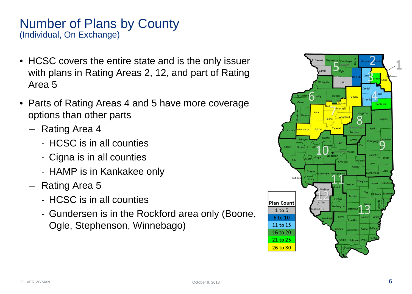### Number of Plans by County (Individual, On Exchange)

- HCSC covers the entire state and is the only issuer with plans in Rating Areas 2, 12, and part of Rating Area 5
- Parts of Rating Areas 4 and 5 have more coverage options than other parts
	- Rating Area 4
		- HCSC is in all counties
		- Cigna is in all counties
		- HAMP is in Kankakee only
	- Rating Area 5
		- HCSC is in all counties
		- Gundersen is in the Rockford area only (Boone, Ogle, Stephenson, Winnebago)

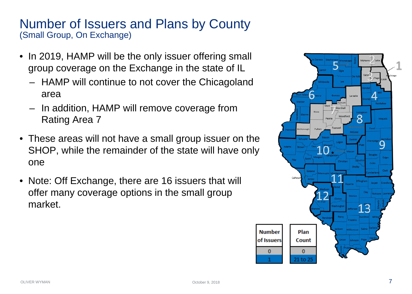### Number of Issuers and Plans by County (Small Group, On Exchange)

- In 2019, HAMP will be the only issuer offering small group coverage on the Exchange in the state of IL
	- HAMP will continue to not cover the Chicagoland area
	- In addition, HAMP will remove coverage from Rating Area 7
- These areas will not have a small group issuer on the SHOP, while the remainder of the state will have only one
- Note: Off Exchange, there are 16 issuers that will offer many coverage options in the small group market.

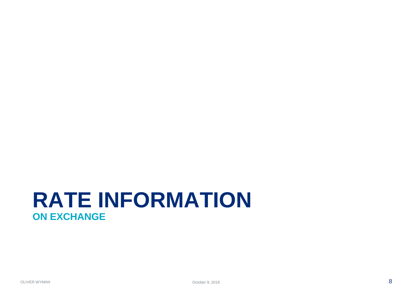# **RATE INFORMATION ON EXCHANGE**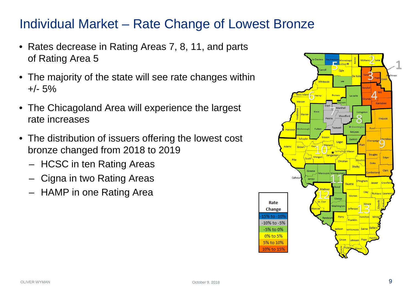# Individual Market – Rate Change of Lowest Bronze

- Rates decrease in Rating Areas 7, 8, 11, and parts of Rating Area 5
- The majority of the state will see rate changes within +/- 5%
- The Chicagoland Area will experience the largest rate increases
- The distribution of issuers offering the lowest cost bronze changed from 2018 to 2019
	- HCSC in ten Rating Areas
	- Cigna in two Rating Areas
	- HAMP in one Rating Area

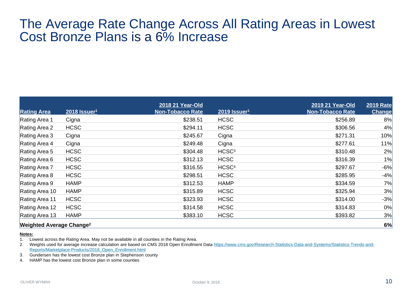### The Average Rate Change Across All Rating Areas in Lowest Cost Bronze Plans is a 6% Increase

|                                            |                            | 2018 21 Year-Old        |                          | 2019 21 Year-Old        | <b>2019 Rate</b> |
|--------------------------------------------|----------------------------|-------------------------|--------------------------|-------------------------|------------------|
| <b>Rating Area</b>                         | $2018$ Issuer <sup>1</sup> | <b>Non-Tobacco Rate</b> | 2019 Issuer <sup>1</sup> | <b>Non-Tobacco Rate</b> | <b>Change</b>    |
| Rating Area 1                              | Cigna                      | \$238.51                | <b>HCSC</b>              | \$256.89                | 8%               |
| Rating Area 2                              | <b>HCSC</b>                | \$294.11                | <b>HCSC</b>              | \$306.56                | 4%               |
| Rating Area 3                              | Cigna                      | \$245.67                | Cigna                    | \$271.31                | 10%              |
| Rating Area 4                              | Cigna                      | \$249.48                | Cigna                    | \$277.61                | 11%              |
| Rating Area 5                              | <b>HCSC</b>                | \$304.48                | HCSC <sup>3</sup>        | \$310.48                | 2%               |
| Rating Area 6                              | <b>HCSC</b>                | \$312.13                | <b>HCSC</b>              | \$316.39                | 1%               |
| Rating Area 7                              | <b>HCSC</b>                | \$316.55                | HCSC <sup>4</sup>        | \$297.67                | $-6%$            |
| Rating Area 8                              | <b>HCSC</b>                | \$298.51                | <b>HCSC</b>              | \$285.95                | $-4%$            |
| Rating Area 9                              | <b>HAMP</b>                | \$312.53                | <b>HAMP</b>              | \$334.59                | 7%               |
| Rating Area 10                             | <b>HAMP</b>                | \$315.89                | <b>HCSC</b>              | \$325.94                | 3%               |
| Rating Area 11                             | <b>HCSC</b>                | \$323.93                | <b>HCSC</b>              | \$314.00                | $-3%$            |
| Rating Area 12                             | <b>HCSC</b>                | \$314.58                | <b>HCSC</b>              | \$314.83                | 0%               |
| Rating Area 13                             | <b>HAMP</b>                | \$383.10                | <b>HCSC</b>              | \$393.82                | 3%               |
| <b>Weighted Average Change<sup>2</sup></b> |                            |                         |                          |                         | 6%               |

#### **Notes:**

1. Lowest across the Rating Area. May not be available in all counties in the Rating Area.

2. [Weights used for average increase calculation are based on CMS 2018 Open Enrollment Data https://www.cms.gov/Research-Statistics-Data-and-Systems/Statistics-Trends-and-](https://www.cms.gov/Research-Statistics-Data-and-Systems/Statistics-Trends-and-Reports/Marketplace-Products/2018_Open_Enrollment.html)Reports/Marketplace-Products/2018\_Open\_Enrollment.html

3. Gundersen has the lowest cost Bronze plan in Stephenson county

4. HAMP has the lowest cost Bronze plan in some counties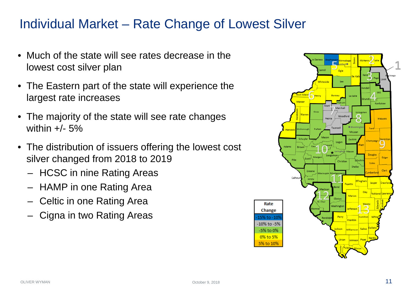# Individual Market – Rate Change of Lowest Silver

- Much of the state will see rates decrease in the lowest cost silver plan
- The Eastern part of the state will experience the largest rate increases
- The majority of the state will see rate changes within  $+/- 5%$
- The distribution of issuers offering the lowest cost silver changed from 2018 to 2019
	- HCSC in nine Rating Areas
	- HAMP in one Rating Area
	- Celtic in one Rating Area
	- Cigna in two Rating Areas

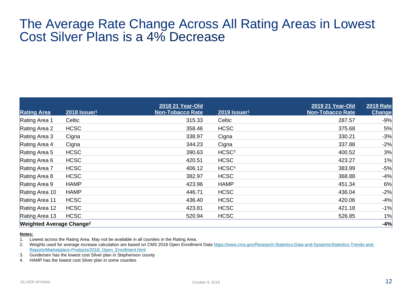### The Average Rate Change Across All Rating Areas in Lowest Cost Silver Plans is a 4% Decrease

|                                            |                          | 2018 21 Year-Old |                          | 2019 21 Year-Old        | <b>2019 Rate</b> |
|--------------------------------------------|--------------------------|------------------|--------------------------|-------------------------|------------------|
| <b>Rating Area</b>                         | 2018 Issuer <sup>1</sup> | Non-Tobacco Rate | 2019 Issuer <sup>1</sup> | <b>Non-Tobacco Rate</b> | <b>Change</b>    |
| Rating Area 1                              | Celtic                   | 315.33           | Celtic                   | 287.57                  | $-9%$            |
| Rating Area 2                              | <b>HCSC</b>              | 358.46           | <b>HCSC</b>              | 375.68                  | 5%               |
| Rating Area 3                              | Cigna                    | 338.97           | Cigna                    | 330.21                  | $-3%$            |
| Rating Area 4                              | Cigna                    | 344.23           | Cigna                    | 337.88                  | $-2%$            |
| Rating Area 5                              | <b>HCSC</b>              | 390.63           | HCSC <sup>3</sup>        | 400.52                  | 3%               |
| Rating Area 6                              | <b>HCSC</b>              | 420.51           | <b>HCSC</b>              | 423.27                  | 1%               |
| Rating Area 7                              | <b>HCSC</b>              | 406.12           | HCSC <sup>4</sup>        | 383.99                  | $-5%$            |
| Rating Area 8                              | <b>HCSC</b>              | 382.97           | <b>HCSC</b>              | 368.88                  | $-4%$            |
| Rating Area 9                              | <b>HAMP</b>              | 423.96           | <b>HAMP</b>              | 451.34                  | 6%               |
| Rating Area 10                             | <b>HAMP</b>              | 446.71           | <b>HCSC</b>              | 436.04                  | $-2%$            |
| Rating Area 11                             | <b>HCSC</b>              | 436.40           | <b>HCSC</b>              | 420.06                  | $-4%$            |
| Rating Area 12                             | <b>HCSC</b>              | 423.81           | <b>HCSC</b>              | 421.18                  | $-1%$            |
| Rating Area 13                             | <b>HCSC</b>              | 520.94           | <b>HCSC</b>              | 526.85                  | 1%               |
| <b>Weighted Average Change<sup>2</sup></b> |                          |                  |                          |                         | $-4%$            |

#### **Notes:**

1. Lowest across the Rating Area. May not be available in all counties in the Rating Area.

2. [Weights used for average increase calculation are based on CMS 2018 Open Enrollment Data https://www.cms.gov/Research-Statistics-Data-and-Systems/Statistics-Trends-and-](https://www.cms.gov/Research-Statistics-Data-and-Systems/Statistics-Trends-and-Reports/Marketplace-Products/2018_Open_Enrollment.html)Reports/Marketplace-Products/2018\_Open\_Enrollment.html

3. Gundersen has the lowest cost Silver plan in Stephenson county

4. HAMP has the lowest cost Silver plan in some counties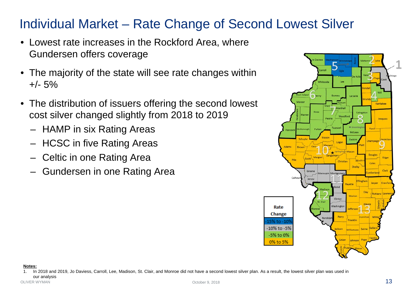# Individual Market – Rate Change of Second Lowest Silver

- Lowest rate increases in the Rockford Area, where Gundersen offers coverage
- The majority of the state will see rate changes within  $+/- 5%$
- The distribution of issuers offering the second lowest cost silver changed slightly from 2018 to 2019
	- HAMP in six Rating Areas
	- HCSC in five Rating Areas
	- Celtic in one Rating Area
	- Gundersen in one Rating Area



**Notes:**

October 9, 2018  $\sim$  13 1. In 2018 and 2019, Jo Daviess, Carroll, Lee, Madison, St. Clair, and Monroe did not have a second lowest silver plan. As a result, the lowest silver plan was used in our analysis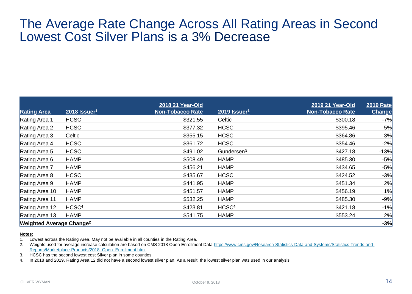### The Average Rate Change Across All Rating Areas in Second Lowest Cost Silver Plans is a 3% Decrease

| <b>Rating Area</b>                         | $2018$ Issuer <sup>1</sup> | 2018 21 Year-Old<br><b>Non-Tobacco Rate</b> | 2019 Issuer <sup>1</sup> | 2019 21 Year-Old<br><b>Non-Tobacco Rate</b> | <b>2019 Rate</b><br><b>Change</b> |
|--------------------------------------------|----------------------------|---------------------------------------------|--------------------------|---------------------------------------------|-----------------------------------|
| Rating Area 1                              | <b>HCSC</b>                | \$321.55                                    | Celtic                   | \$300.18                                    | $-7%$                             |
| Rating Area 2                              | <b>HCSC</b>                | \$377.32                                    | <b>HCSC</b>              | \$395.46                                    | 5%                                |
| Rating Area 3                              | Celtic                     | \$355.15                                    | <b>HCSC</b>              | \$364.86                                    | 3%                                |
| Rating Area 4                              | <b>HCSC</b>                | \$361.72                                    | <b>HCSC</b>              | \$354.46                                    | $-2%$                             |
| Rating Area 5                              | <b>HCSC</b>                | \$491.02                                    | Gundersen <sup>3</sup>   | \$427.18                                    | $-13%$                            |
| Rating Area 6                              | <b>HAMP</b>                | \$508.49                                    | <b>HAMP</b>              | \$485.30                                    | $-5%$                             |
| Rating Area 7                              | <b>HAMP</b>                | \$456.21                                    | <b>HAMP</b>              | \$434.65                                    | $-5%$                             |
| Rating Area 8                              | <b>HCSC</b>                | \$435.67                                    | <b>HCSC</b>              | \$424.52                                    | $-3%$                             |
| Rating Area 9                              | <b>HAMP</b>                | \$441.95                                    | <b>HAMP</b>              | \$451.34                                    | 2%                                |
| Rating Area 10                             | <b>HAMP</b>                | \$451.57                                    | <b>HAMP</b>              | \$456.19                                    | 1%                                |
| Rating Area 11                             | <b>HAMP</b>                | \$532.25                                    | <b>HAMP</b>              | \$485.30                                    | $-9%$                             |
| Rating Area 12                             | HCSC <sup>4</sup>          | \$423.81                                    | HCSC <sup>4</sup>        | \$421.18                                    | $-1%$                             |
| Rating Area 13                             | <b>HAMP</b>                | \$541.75                                    | <b>HAMP</b>              | \$553.24                                    | 2%                                |
| <b>Weighted Average Change<sup>2</sup></b> |                            |                                             |                          |                                             | $-3%$                             |

#### **Notes:**

1. Lowest across the Rating Area. May not be available in all counties in the Rating Area.

2. [Weights used for average increase calculation are based on CMS 2018 Open Enrollment Data https://www.cms.gov/Research-Statistics-Data-and-Systems/Statistics-Trends-and-](https://www.cms.gov/Research-Statistics-Data-and-Systems/Statistics-Trends-and-Reports/Marketplace-Products/2018_Open_Enrollment.html)Reports/Marketplace-Products/2018\_Open\_Enrollment.html

3. HCSC has the second lowest cost Silver plan in some counties

4. In 2018 and 2019, Rating Area 12 did not have a second lowest silver plan. As a result, the lowest silver plan was used in our analysis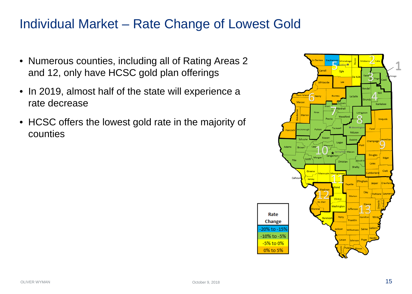# Individual Market – Rate Change of Lowest Gold

- Numerous counties, including all of Rating Areas 2 and 12, only have HCSC gold plan offerings
- In 2019, almost half of the state will experience a rate decrease
- HCSC offers the lowest gold rate in the majority of counties